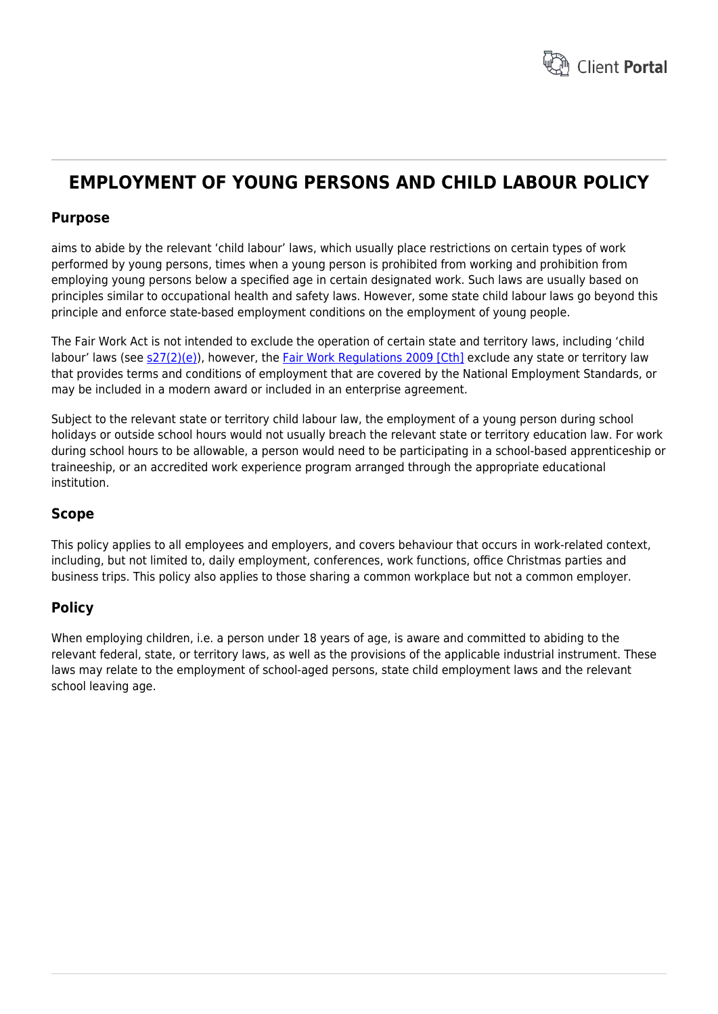

# **EMPLOYMENT OF YOUNG PERSONS AND CHILD LABOUR POLICY**

# **Purpose**

aims to abide by the relevant 'child labour' laws, which usually place restrictions on certain types of work performed by young persons, times when a young person is prohibited from working and prohibition from employing young persons below a specified age in certain designated work. Such laws are usually based on principles similar to occupational health and safety laws. However, some state child labour laws go beyond this principle and enforce state-based employment conditions on the employment of young people.

The Fair Work Act is not intended to exclude the operation of certain state and territory laws, including 'child labour' laws (see [s27\(2\)\(e\)](http://www.austlii.edu.au/cgi-bin/sinodisp/au/legis/cth/consol_act/fwa2009114/s27.html?stem=0&synonyms=0&query=%5es.27%20Fair%20Work%20Act)), however, the [Fair Work Regulations 2009 \[Cth\]](http://www.austlii.edu.au/au/legis/cth/consol_reg/fwr2009223/) exclude any state or territory law that provides terms and conditions of employment that are covered by the National Employment Standards, or may be included in a modern award or included in an enterprise agreement.

Subject to the relevant state or territory child labour law, the employment of a young person during school holidays or outside school hours would not usually breach the relevant state or territory education law. For work during school hours to be allowable, a person would need to be participating in a school-based apprenticeship or traineeship, or an accredited work experience program arranged through the appropriate educational institution.

# **Scope**

This policy applies to all employees and employers, and covers behaviour that occurs in work-related context, including, but not limited to, daily employment, conferences, work functions, office Christmas parties and business trips. This policy also applies to those sharing a common workplace but not a common employer.

# **Policy**

When employing children, i.e. a person under 18 years of age, is aware and committed to abiding to the relevant federal, state, or territory laws, as well as the provisions of the applicable industrial instrument. These laws may relate to the employment of school-aged persons, state child employment laws and the relevant school leaving age.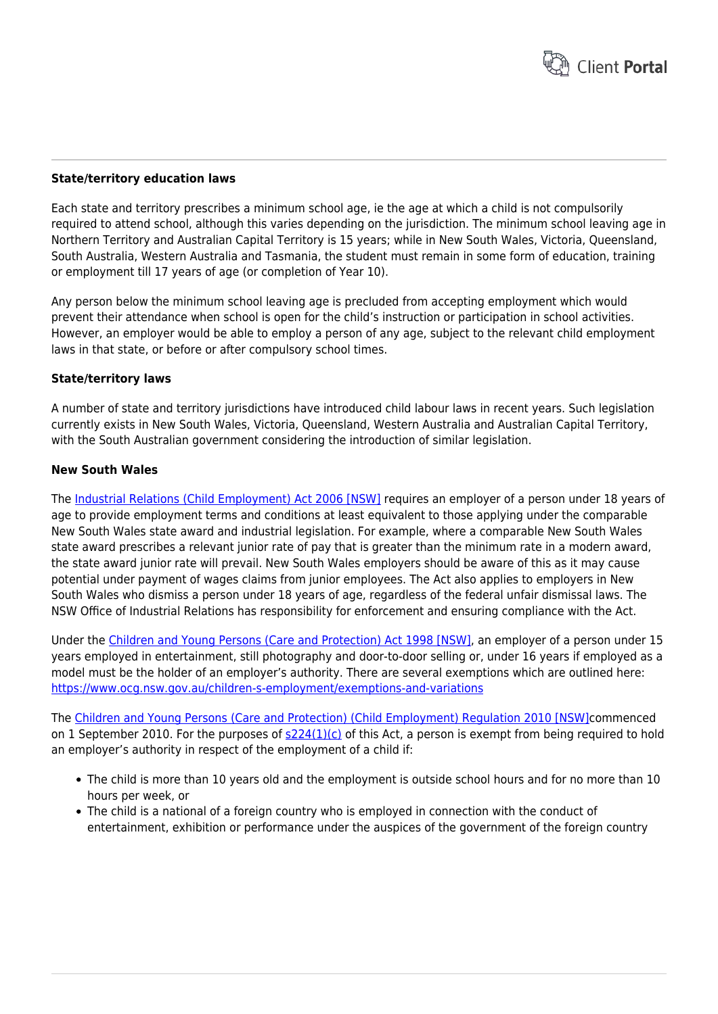

#### **State/territory education laws**

Each state and territory prescribes a minimum school age, ie the age at which a child is not compulsorily required to attend school, although this varies depending on the jurisdiction. The minimum school leaving age in Northern Territory and Australian Capital Territory is 15 years; while in New South Wales, Victoria, Queensland, South Australia, Western Australia and Tasmania, the student must remain in some form of education, training or employment till 17 years of age (or completion of Year 10).

Any person below the minimum school leaving age is precluded from accepting employment which would prevent their attendance when school is open for the child's instruction or participation in school activities. However, an employer would be able to employ a person of any age, subject to the relevant child employment laws in that state, or before or after compulsory school times.

#### **State/territory laws**

A number of state and territory jurisdictions have introduced child labour laws in recent years. Such legislation currently exists in New South Wales, Victoria, Queensland, Western Australia and Australian Capital Territory, with the South Australian government considering the introduction of similar legislation.

#### **New South Wales**

The [Industrial Relations \(Child Employment\) Act 2006 \[NSW\]](http://www.austlii.edu.au/au/legis/nsw/consol_act/irea2006401/) requires an employer of a person under 18 years of age to provide employment terms and conditions at least equivalent to those applying under the comparable New South Wales state award and industrial legislation. For example, where a comparable New South Wales state award prescribes a relevant junior rate of pay that is greater than the minimum rate in a modern award, the state award junior rate will prevail. New South Wales employers should be aware of this as it may cause potential under payment of wages claims from junior employees. The Act also applies to employers in New South Wales who dismiss a person under 18 years of age, regardless of the federal unfair dismissal laws. The NSW Office of Industrial Relations has responsibility for enforcement and ensuring compliance with the Act.

Under the [Children and Young Persons \(Care and Protection\) Act 1998 \[NSW\],](http://www.austlii.edu.au/au/legis/nsw/consol_act/caypapa1998442/) an employer of a person under 15 years employed in entertainment, still photography and door-to-door selling or, under 16 years if employed as a model must be the holder of an employer's authority. There are several exemptions which are outlined here: <https://www.ocg.nsw.gov.au/children-s-employment/exemptions-and-variations>

The [Children and Young Persons \(Care and Protection\) \(Child Employment\) Regulation 2010 \[NSW\]c](http://www.austlii.edu.au/au/legis/nsw/consol_reg/caypaper2010692/)ommenced on 1 September 2010. For the purposes of  $s224(1)(c)$  of this Act, a person is exempt from being required to hold an employer's authority in respect of the employment of a child if:

- The child is more than 10 years old and the employment is outside school hours and for no more than 10 hours per week, or
- The child is a national of a foreign country who is employed in connection with the conduct of entertainment, exhibition or performance under the auspices of the government of the foreign country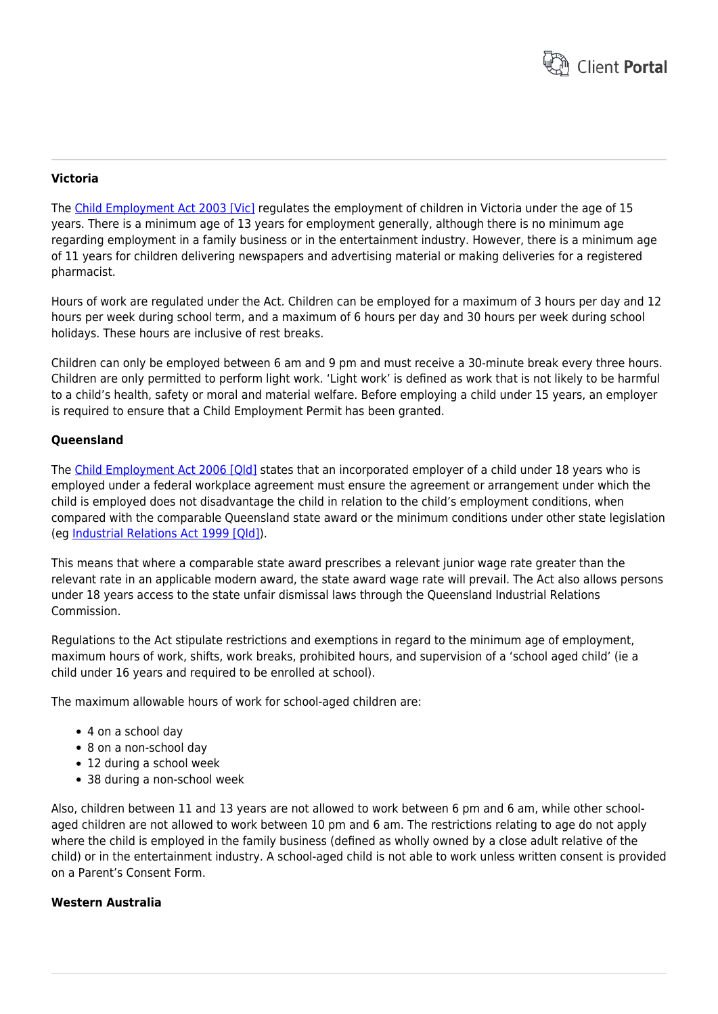

### **Victoria**

The [Child Employment Act 2003 \[Vic\]](http://www.austlii.edu.au/au/legis/vic/consol_act/cea2003180/) regulates the employment of children in Victoria under the age of 15 years. There is a minimum age of 13 years for employment generally, although there is no minimum age regarding employment in a family business or in the entertainment industry. However, there is a minimum age of 11 years for children delivering newspapers and advertising material or making deliveries for a registered pharmacist.

Hours of work are regulated under the Act. Children can be employed for a maximum of 3 hours per day and 12 hours per week during school term, and a maximum of 6 hours per day and 30 hours per week during school holidays. These hours are inclusive of rest breaks.

Children can only be employed between 6 am and 9 pm and must receive a 30-minute break every three hours. Children are only permitted to perform light work. 'Light work' is defined as work that is not likely to be harmful to a child's health, safety or moral and material welfare. Before employing a child under 15 years, an employer is required to ensure that a Child Employment Permit has been granted.

#### **Queensland**

The [Child Employment Act 2006 \[Qld\]](http://workplaceinfo.com.au/legislation/federal/sorry-about-this) states that an incorporated employer of a child under 18 years who is employed under a federal workplace agreement must ensure the agreement or arrangement under which the child is employed does not disadvantage the child in relation to the child's employment conditions, when compared with the comparable Queensland state award or the minimum conditions under other state legislation (eg [Industrial Relations Act 1999 \[Qld\]](http://www.austlii.edu.au/au/legis/qld/consol_act/ira1999242/)).

This means that where a comparable state award prescribes a relevant junior wage rate greater than the relevant rate in an applicable modern award, the state award wage rate will prevail. The Act also allows persons under 18 years access to the state unfair dismissal laws through the Queensland Industrial Relations Commission.

Regulations to the Act stipulate restrictions and exemptions in regard to the minimum age of employment, maximum hours of work, shifts, work breaks, prohibited hours, and supervision of a 'school aged child' (ie a child under 16 years and required to be enrolled at school).

The maximum allowable hours of work for school-aged children are:

- 4 on a school day
- 8 on a non-school day
- 12 during a school week
- 38 during a non-school week

Also, children between 11 and 13 years are not allowed to work between 6 pm and 6 am, while other schoolaged children are not allowed to work between 10 pm and 6 am. The restrictions relating to age do not apply where the child is employed in the family business (defined as wholly owned by a close adult relative of the child) or in the entertainment industry. A school-aged child is not able to work unless written consent is provided on a Parent's Consent Form.

#### **Western Australia**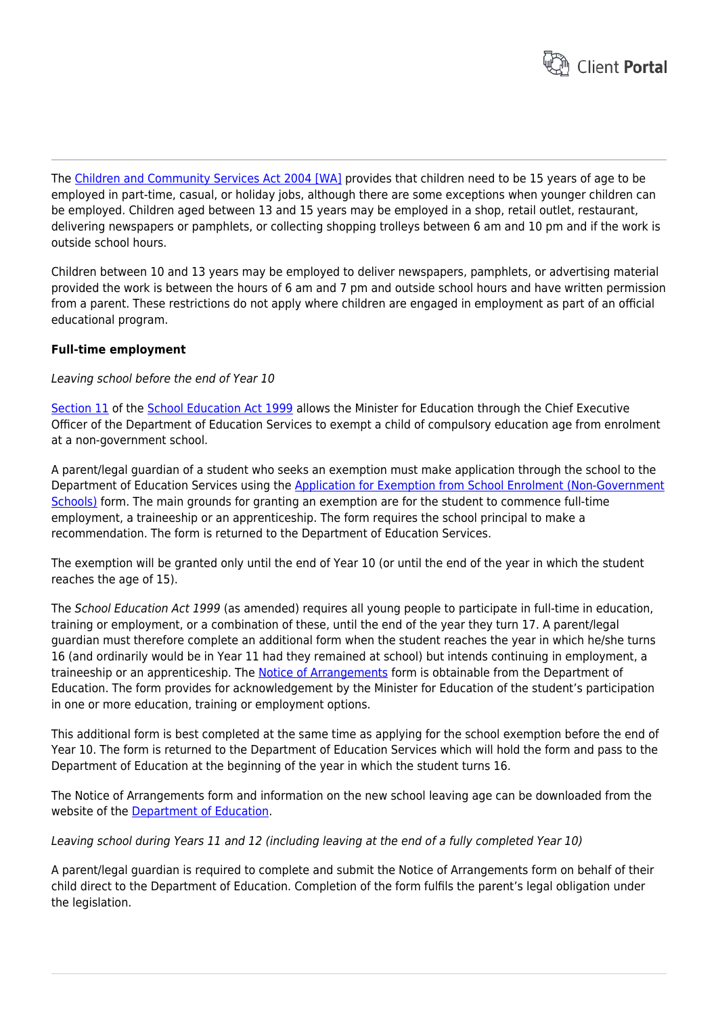

The [Children and Community Services Act 2004 \[WA\]](http://www.austlii.edu.au/au/legis/wa/consol_act/cacsa2004318/) provides that children need to be 15 years of age to be employed in part-time, casual, or holiday jobs, although there are some exceptions when younger children can be employed. Children aged between 13 and 15 years may be employed in a shop, retail outlet, restaurant, delivering newspapers or pamphlets, or collecting shopping trolleys between 6 am and 10 pm and if the work is outside school hours.

Children between 10 and 13 years may be employed to deliver newspapers, pamphlets, or advertising material provided the work is between the hours of 6 am and 7 pm and outside school hours and have written permission from a parent. These restrictions do not apply where children are engaged in employment as part of an official educational program.

#### **Full-time employment**

Leaving school before the end of Year 10

[Section 11](http://www.austlii.edu.au/au/legis/wa/consol_act/sea1999170/s11.html) of the [School Education Act 1999](http://www.austlii.edu.au/au/legis/wa/consol_act/sea1999170/) allows the Minister for Education through the Chief Executive Officer of the Department of Education Services to exempt a child of compulsory education age from enrolment at a non-government school.

A parent/legal guardian of a student who seeks an exemption must make application through the school to the Department of Education Services using the [Application for Exemption from School Enrolment \(Non-Government](http://www.des.wa.gov.au/_Documents/Searchable/NGS%20Application%20Exemption%20from%20School%20Enrolment.pdf) [Schools\)](http://www.des.wa.gov.au/_Documents/Searchable/NGS%20Application%20Exemption%20from%20School%20Enrolment.pdf) form. The main grounds for granting an exemption are for the student to commence full-time employment, a traineeship or an apprenticeship. The form requires the school principal to make a recommendation. The form is returned to the Department of Education Services.

The exemption will be granted only until the end of Year 10 (or until the end of the year in which the student reaches the age of 15).

The School Education Act 1999 (as amended) requires all young people to participate in full-time in education, training or employment, or a combination of these, until the end of the year they turn 17. A parent/legal guardian must therefore complete an additional form when the student reaches the year in which he/she turns 16 (and ordinarily would be in Year 11 had they remained at school) but intends continuing in employment, a traineeship or an apprenticeship. The [Notice of Arrangements](http://www.det.wa.edu.au/participation/detcms/participation/participation/forms/forms.en?oid=Article-id-326519) form is obtainable from the Department of Education. The form provides for acknowledgement by the Minister for Education of the student's participation in one or more education, training or employment options.

This additional form is best completed at the same time as applying for the school exemption before the end of Year 10. The form is returned to the Department of Education Services which will hold the form and pass to the Department of Education at the beginning of the year in which the student turns 16.

The Notice of Arrangements form and information on the new school leaving age can be downloaded from the website of the [Department of Education](http://www.det.wa.edu.au/participation/detcms/participation/participation/forms/forms.en?oid=Article-id-326519).

Leaving school during Years 11 and 12 (including leaving at the end of a fully completed Year 10)

A parent/legal guardian is required to complete and submit the Notice of Arrangements form on behalf of their child direct to the Department of Education. Completion of the form fulfils the parent's legal obligation under the legislation.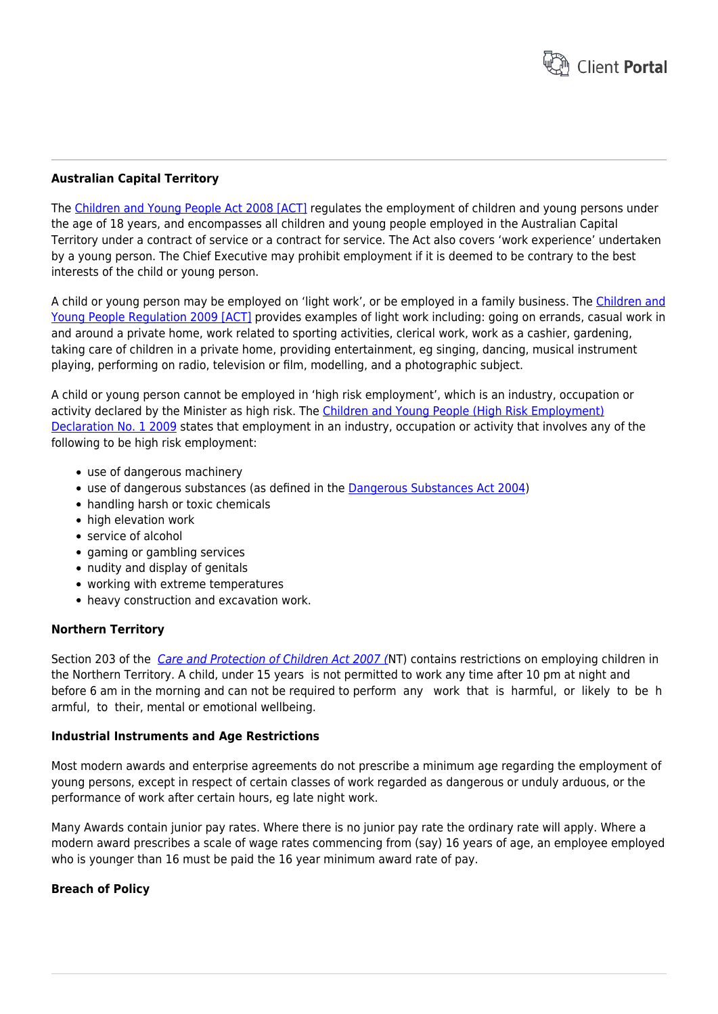

## **Australian Capital Territory**

The [Children and Young People Act 2008 \[ACT\]](http://www.austlii.edu.au/au/legis/act/consol_act/caypa2008242/) regulates the employment of children and young persons under the age of 18 years, and encompasses all children and young people employed in the Australian Capital Territory under a contract of service or a contract for service. The Act also covers 'work experience' undertaken by a young person. The Chief Executive may prohibit employment if it is deemed to be contrary to the best interests of the child or young person.

A child or young person may be employed on 'light work', or be employed in a family business. The [Children and](http://www.austlii.edu.au/au/legis/act/num_reg_es/caypr200937o2009379.html) [Young People Regulation 2009 \[ACT\]](http://www.austlii.edu.au/au/legis/act/num_reg_es/caypr200937o2009379.html) provides examples of light work including: going on errands, casual work in and around a private home, work related to sporting activities, clerical work, work as a cashier, gardening, taking care of children in a private home, providing entertainment, eg singing, dancing, musical instrument playing, performing on radio, television or film, modelling, and a photographic subject.

A child or young person cannot be employed in 'high risk employment', which is an industry, occupation or activity declared by the Minister as high risk. The [Children and Young People \(High Risk Employment\)](http://www.legislation.act.gov.au/ni/2009-340/default.asp) [Declaration No. 1 2009](http://www.legislation.act.gov.au/ni/2009-340/default.asp) states that employment in an industry, occupation or activity that involves any of the following to be high risk employment:

- use of dangerous machinery
- use of dangerous substances (as defined in the [Dangerous Substances Act 2004\)](http://www.austlii.edu.au/au/legis/act/consol_act/dsa2004229/)
- handling harsh or toxic chemicals
- high elevation work
- service of alcohol
- gaming or gambling services
- nudity and display of genitals
- working with extreme temperatures
- heavy construction and excavation work.

#### **Northern Territory**

Section 203 of the [Care and Protection of Children Act 2007 \(](https://legislation.nt.gov.au/Legislation/CARE-AND-PROTECTION-OF-CHILDREN-ACT-2007)NT) contains restrictions on employing children in the Northern Territory. A child, under 15 years is not permitted to work any time after 10 pm at night and before 6 am in the morning and can not be required to perform any work that is harmful, or likely to be h armful, to their, mental or emotional wellbeing.

#### **Industrial Instruments and Age Restrictions**

Most modern awards and enterprise agreements do not prescribe a minimum age regarding the employment of young persons, except in respect of certain classes of work regarded as dangerous or unduly arduous, or the performance of work after certain hours, eg late night work.

Many Awards contain junior pay rates. Where there is no junior pay rate the ordinary rate will apply. Where a modern award prescribes a scale of wage rates commencing from (say) 16 years of age, an employee employed who is younger than 16 must be paid the 16 year minimum award rate of pay.

## **Breach of Policy**